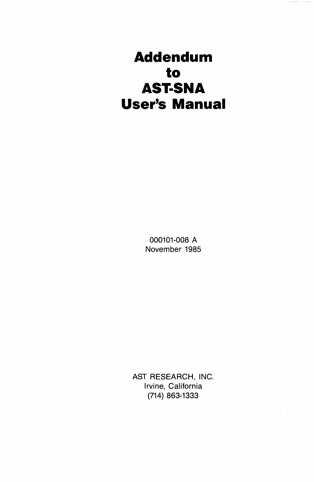# **Addendum to AST·SNA User's Manual**

000101-008 A November 1985

AST RESEARCH, INC. Irvine, California (714) 863-1333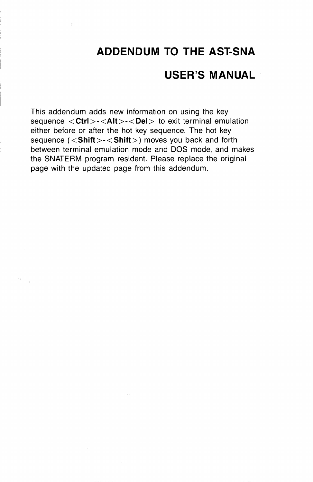## **ADDENDUM TO THE AST-SNA**

### **USER'S MANUAL**

This addendum adds new information on using the key sequence < Ctrl > - < Alt > - < Del > to exit terminal emulation either before or after the hot key sequence. The hot key sequence (<Shift> > < Shift > > moves you back and forth between terminal emulation mode and DOS mode, and makes the SNATERM program resident. Please replace the original page with the updated page from this addendum.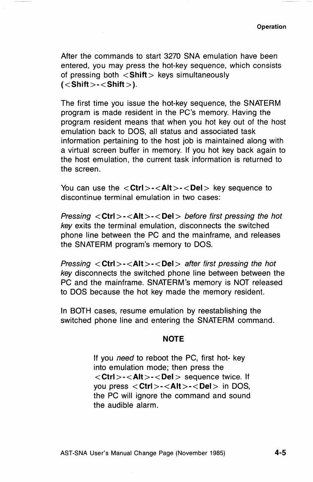After the commands to start 3270 SNA emulation have been entered, you may press the hot-key sequence, which consists of pressing both  $\langle$  Shift  $\rangle$  keys simultaneously  $(<$ Shift > - < Shift >  $)$ .

The first time you issue the hot-key sequence, the SNATERM program is made resident in the PC's memory. Having the program resident means that when you hot key out of the host emulation back to DOS, all status and associated task information pertaining to the host job is maintained along with a virtual screen buffer in memory. If you hot key back again to the host emulation, the current task information is returned to the screen.

You can use the  $\langle \text{Ctrl}\rangle - \langle \text{Alt}\rangle - \langle \text{Del}\rangle$  key sequence to discontinue terminal emulation in two cases:

Pressing < **Ctrl** > -< **Alt** > -< **Del>** before first pressing the hot key exits the terminal emulation, disconnects the switched phone line between the PC and the mainframe, and releases the SNATERM program's memory to DOS.

Pressing < **Ctrl** > -< **Alt** > -< **Del>** after first pressing the hot key disconnects the switched phone line between between the PC and the mainframe. SNATERM's memory is NOT released to DOS because the hot key made the memory resident.

**In** BOTH cases, resume emulation by reestablishing the switched phone line and entering the SNATERM command.

#### **NOTE**

If you need to reboot the PC, first hot- key into emulation mode; then press the < **Ctrl** > -< **Alt** > -< **Del>** sequence twice. If you press < Ctrl>-<Alt>-<Del> in DOS, the PC will ignore the command and sound the audible alarm.